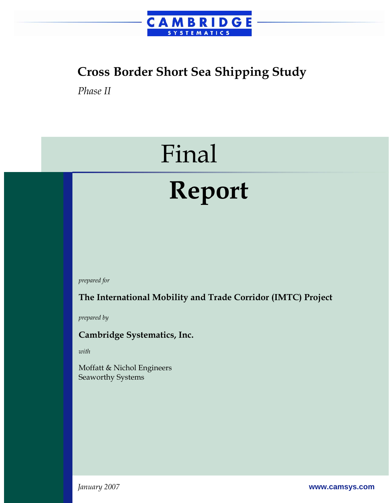

# **Cross Border Short Sea Shipping Study**

*Phase II* 

# Final

# **Report**

*prepared for* 

**The International Mobility and Trade Corridor (IMTC) Project** 

*prepared by* 

#### **Cambridge Systematics, Inc.**

*with* 

Moffatt & Nichol Engineers Seaworthy Systems

*January 2007* **www.camsys.com**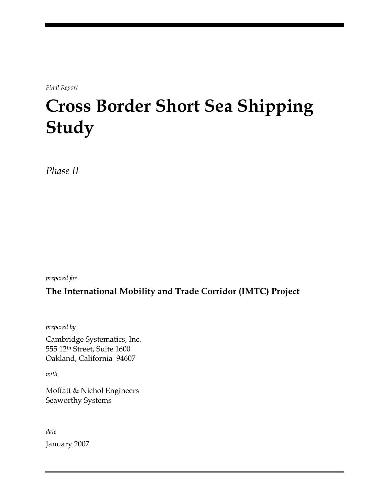*Final Report* 

# **Cross Border Short Sea Shipping Study**

*Phase II* 

*prepared for* 

#### **The International Mobility and Trade Corridor (IMTC) Project**

*prepared by* 

Cambridge Systematics, Inc. 555 12th Street, Suite 1600 Oakland, California 94607

*with* 

Moffatt & Nichol Engineers Seaworthy Systems

*date* 

January 2007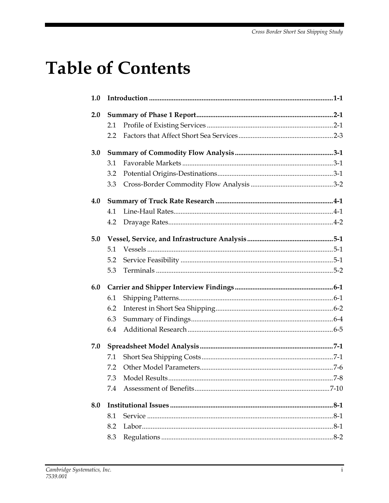# **Table of Contents**

| 1.0 |     |         |
|-----|-----|---------|
| 2.0 |     |         |
|     | 2.1 |         |
|     | 2.2 |         |
| 3.0 |     |         |
|     | 3.1 |         |
|     | 3.2 |         |
|     | 3.3 |         |
| 4.0 |     |         |
|     | 4.1 |         |
|     | 4.2 |         |
| 5.0 |     |         |
|     | 5.1 |         |
|     | 5.2 |         |
|     | 5.3 |         |
| 6.0 |     |         |
|     | 6.1 |         |
|     | 6.2 |         |
|     | 6.3 |         |
|     | 6.4 |         |
| 7.0 |     |         |
|     | 7.1 |         |
|     | 7.2 |         |
|     |     | $7 - 8$ |
|     | 7.4 |         |
| 8.0 |     |         |
|     | 8.1 |         |
|     | 8.2 |         |
|     | 8.3 |         |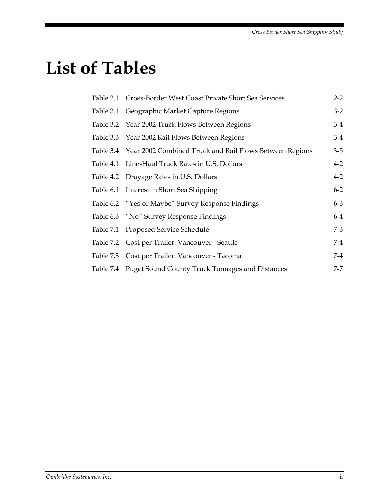# **List of Tables**

| Table 2.1 Cross-Border West Coast Private Short Sea Services      | $2 - 2$ |
|-------------------------------------------------------------------|---------|
| Table 3.1 Geographic Market Capture Regions                       | $3-2$   |
| Table 3.2 Year 2002 Truck Flows Between Regions                   | $3-4$   |
| Table 3.3 Year 2002 Rail Flows Between Regions                    | $3-4$   |
| Table 3.4 Year 2002 Combined Truck and Rail Flows Between Regions | $3-5$   |
| Table 4.1 Line-Haul Truck Rates in U.S. Dollars                   | $4 - 2$ |
| Table 4.2 Drayage Rates in U.S. Dollars                           | $4 - 2$ |
| Table 6.1 Interest in Short Sea Shipping                          | $6 - 2$ |
| Table 6.2 "Yes or Maybe" Survey Response Findings                 | $6 - 3$ |
| Table 6.3 "No" Survey Response Findings                           | $6-4$   |
| Table 7.1 Proposed Service Schedule                               | $7-3$   |
| Table 7.2 Cost per Trailer: Vancouver - Seattle                   | $7-4$   |
| Table 7.3 Cost per Trailer: Vancouver - Tacoma                    | 7-4     |
| Table 7.4 Puget Sound County Truck Tonnages and Distances         | $7 - 7$ |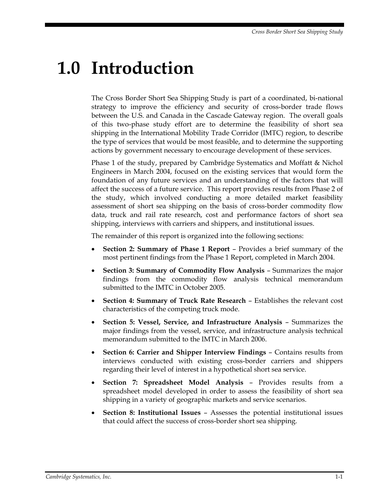# **1.0 Introduction**

The Cross Border Short Sea Shipping Study is part of a coordinated, bi-national strategy to improve the efficiency and security of cross-border trade flows between the U.S. and Canada in the Cascade Gateway region. The overall goals of this two-phase study effort are to determine the feasibility of short sea shipping in the International Mobility Trade Corridor (IMTC) region, to describe the type of services that would be most feasible, and to determine the supporting actions by government necessary to encourage development of these services.

Phase 1 of the study, prepared by Cambridge Systematics and Moffatt & Nichol Engineers in March 2004, focused on the existing services that would form the foundation of any future services and an understanding of the factors that will affect the success of a future service. This report provides results from Phase 2 of the study, which involved conducting a more detailed market feasibility assessment of short sea shipping on the basis of cross-border commodity flow data, truck and rail rate research, cost and performance factors of short sea shipping, interviews with carriers and shippers, and institutional issues.

The remainder of this report is organized into the following sections:

- **Section 2: Summary of Phase 1 Report** Provides a brief summary of the most pertinent findings from the Phase 1 Report, completed in March 2004.
- **Section 3: Summary of Commodity Flow Analysis** Summarizes the major findings from the commodity flow analysis technical memorandum submitted to the IMTC in October 2005.
- **Section 4: Summary of Truck Rate Research** Establishes the relevant cost characteristics of the competing truck mode.
- **Section 5: Vessel, Service, and Infrastructure Analysis** Summarizes the major findings from the vessel, service, and infrastructure analysis technical memorandum submitted to the IMTC in March 2006.
- **Section 6: Carrier and Shipper Interview Findings** Contains results from interviews conducted with existing cross-border carriers and shippers regarding their level of interest in a hypothetical short sea service.
- **Section 7: Spreadsheet Model Analysis** Provides results from a spreadsheet model developed in order to assess the feasibility of short sea shipping in a variety of geographic markets and service scenarios.
- **Section 8: Institutional Issues** Assesses the potential institutional issues that could affect the success of cross-border short sea shipping.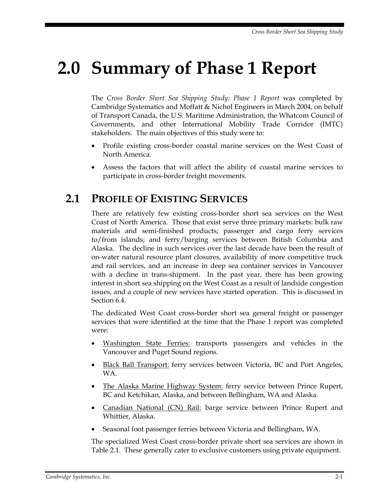# **2.0 Summary of Phase 1 Report**

The *Cross Border Short Sea Shipping Study: Phase 1 Report* was completed by Cambridge Systematics and Moffatt & Nichol Engineers in March 2004, on behalf of Transport Canada, the U.S. Maritime Administration, the Whatcom Council of Governments, and other International Mobility Trade Corridor (IMTC) stakeholders. The main objectives of this study were to:

- Profile existing cross-border coastal marine services on the West Coast of North America.
- Assess the factors that will affect the ability of coastal marine services to participate in cross-border freight movements.

### **2.1 PROFILE OF EXISTING SERVICES**

There are relatively few existing cross-border short sea services on the West Coast of North America. Those that exist serve three primary markets: bulk raw materials and semi-finished products; passenger and cargo ferry services to/from islands; and ferry/barging services between British Columbia and Alaska. The decline in such services over the last decade have been the result of on-water natural resource plant closures, availability of more competitive truck and rail services, and an increase in deep sea container services in Vancouver with a decline in trans-shipment. In the past year, there has been growing interest in short sea shipping on the West Coast as a result of landside congestion issues, and a couple of new services have started operation. This is discussed in Section 6.4.

The dedicated West Coast cross-border short sea general freight or passenger services that were identified at the time that the Phase 1 report was completed were:

- Washington State Ferries: transports passengers and vehicles in the Vancouver and Puget Sound regions.
- Black Ball Transport: ferry services between Victoria, BC and Port Angeles, WA.
- The Alaska Marine Highway System: ferry service between Prince Rupert, BC and Ketchikan, Alaska, and between Bellingham, WA and Alaska.
- Canadian National (CN) Rail: barge service between Prince Rupert and Whittier, Alaska.
- Seasonal foot passenger ferries between Victoria and Bellingham, WA.

The specialized West Coast cross-border private short sea services are shown in Table 2.1. These generally cater to exclusive customers using private equipment.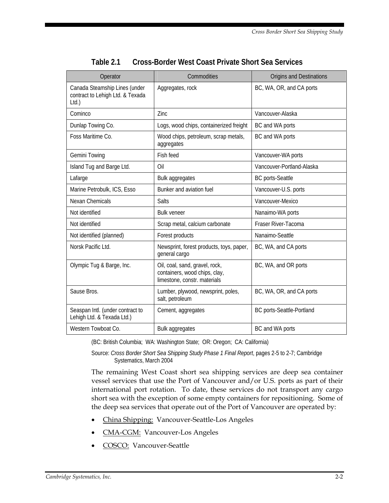| Operator                                                                  | Commodities                                                                                     | Origins and Destinations  |
|---------------------------------------------------------------------------|-------------------------------------------------------------------------------------------------|---------------------------|
| Canada Steamship Lines (under<br>contract to Lehigh Ltd. & Texada<br>Ltd. | Aggregates, rock                                                                                | BC, WA, OR, and CA ports  |
| Cominco                                                                   | Zinc                                                                                            | Vancouver-Alaska          |
| Dunlap Towing Co.                                                         | Logs, wood chips, containerized freight                                                         | BC and WA ports           |
| Foss Maritime Co.                                                         | Wood chips, petroleum, scrap metals,<br>aggregates                                              | BC and WA ports           |
| <b>Gemini Towing</b>                                                      | Fish feed                                                                                       | Vancouver-WA ports        |
| Island Tug and Barge Ltd.                                                 | Oil                                                                                             | Vancouver-Portland-Alaska |
| Lafarge                                                                   | Bulk aggregates                                                                                 | <b>BC</b> ports-Seattle   |
| Marine Petrobulk, ICS, Esso                                               | Bunker and aviation fuel                                                                        | Vancouver-U.S. ports      |
| <b>Nexan Chemicals</b>                                                    | Salts                                                                                           | Vancouver-Mexico          |
| Not identified                                                            | <b>Bulk veneer</b>                                                                              | Nanaimo-WA ports          |
| Not identified                                                            | Scrap metal, calcium carbonate                                                                  | Fraser River-Tacoma       |
| Not identified (planned)                                                  | Forest products                                                                                 | Nanaimo-Seattle           |
| Norsk Pacific Ltd.                                                        | Newsprint, forest products, toys, paper,<br>general cargo                                       | BC, WA, and CA ports      |
| Olympic Tug & Barge, Inc.                                                 | Oil, coal, sand, gravel, rock,<br>containers, wood chips, clay,<br>limestone, constr. materials | BC, WA, and OR ports      |
| Sause Bros.                                                               | Lumber, plywood, newsprint, poles,<br>salt, petroleum                                           | BC, WA, OR, and CA ports  |
| Seaspan Intl. (under contract to<br>Lehigh Ltd. & Texada Ltd.)            | Cement, aggregates                                                                              | BC ports-Seattle-Portland |
| Western Towboat Co.                                                       | Bulk aggregates                                                                                 | BC and WA ports           |

| Table 2.1 | Cross-Border West Coast Private Short Sea Services |
|-----------|----------------------------------------------------|
|           |                                                    |

(BC: British Columbia; WA: Washington State; OR: Oregon; CA: California)

Source: *Cross Border Short Sea Shipping Study Phase 1 Final Report*, pages 2-5 to 2-7; Cambridge Systematics, March 2004

The remaining West Coast short sea shipping services are deep sea container vessel services that use the Port of Vancouver and/or U.S. ports as part of their international port rotation. To date, these services do not transport any cargo short sea with the exception of some empty containers for repositioning. Some of the deep sea services that operate out of the Port of Vancouver are operated by:

- China Shipping: Vancouver-Seattle-Los Angeles
- CMA-CGM: Vancouver-Los Angeles
- COSCO: Vancouver-Seattle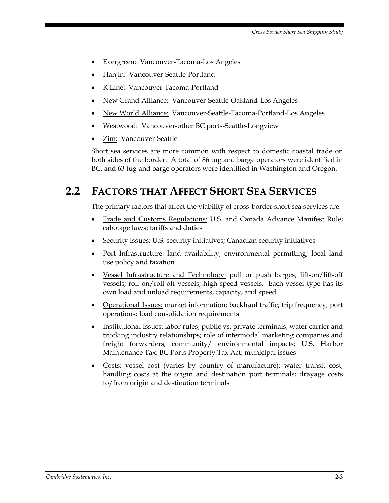- Evergreen: Vancouver-Tacoma-Los Angeles
- Hanjin: Vancouver-Seattle-Portland
- K Line: Vancouver-Tacoma-Portland
- New Grand Alliance: Vancouver-Seattle-Oakland-Los Angeles
- New World Alliance: Vancouver-Seattle-Tacoma-Portland-Los Angeles
- Westwood: Vancouver-other BC ports-Seattle-Longview
- Zim: Vancouver-Seattle

Short sea services are more common with respect to domestic coastal trade on both sides of the border. A total of 86 tug and barge operators were identified in BC, and 63 tug and barge operators were identified in Washington and Oregon.

# **2.2 FACTORS THAT AFFECT SHORT SEA SERVICES**

The primary factors that affect the viability of cross-border short sea services are:

- Trade and Customs Regulations: U.S. and Canada Advance Manifest Rule; cabotage laws; tariffs and duties
- Security Issues: U.S. security initiatives; Canadian security initiatives
- Port Infrastructure: land availability; environmental permitting; local land use policy and taxation
- Vessel Infrastructure and Technology: pull or push barges; lift-on/lift-off vessels; roll-on/roll-off vessels; high-speed vessels. Each vessel type has its own load and unload requirements, capacity, and speed
- Operational Issues: market information; backhaul traffic; trip frequency; port operations; load consolidation requirements
- Institutional Issues: labor rules; public vs. private terminals; water carrier and trucking industry relationships; role of intermodal marketing companies and freight forwarders; community/ environmental impacts; U.S. Harbor Maintenance Tax; BC Ports Property Tax Act; municipal issues
- Costs: vessel cost (varies by country of manufacture); water transit cost; handling costs at the origin and destination port terminals; drayage costs to/from origin and destination terminals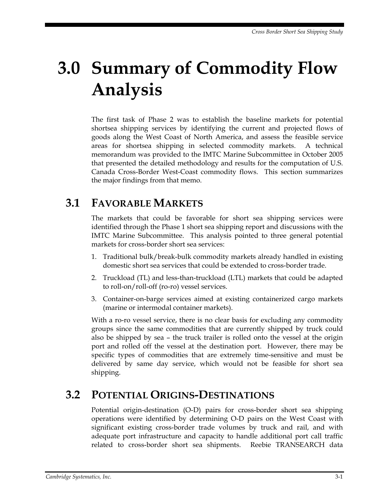# **3.0 Summary of Commodity Flow Analysis**

The first task of Phase 2 was to establish the baseline markets for potential shortsea shipping services by identifying the current and projected flows of goods along the West Coast of North America, and assess the feasible service areas for shortsea shipping in selected commodity markets. A technical memorandum was provided to the IMTC Marine Subcommittee in October 2005 that presented the detailed methodology and results for the computation of U.S. Canada Cross-Border West-Coast commodity flows. This section summarizes the major findings from that memo.

### **3.1 FAVORABLE MARKETS**

The markets that could be favorable for short sea shipping services were identified through the Phase 1 short sea shipping report and discussions with the IMTC Marine Subcommittee. This analysis pointed to three general potential markets for cross-border short sea services:

- 1. Traditional bulk/break-bulk commodity markets already handled in existing domestic short sea services that could be extended to cross-border trade.
- 2. Truckload (TL) and less-than-truckload (LTL) markets that could be adapted to roll-on/roll-off (ro-ro) vessel services.
- 3. Container-on-barge services aimed at existing containerized cargo markets (marine or intermodal container markets).

With a ro-ro vessel service, there is no clear basis for excluding any commodity groups since the same commodities that are currently shipped by truck could also be shipped by sea – the truck trailer is rolled onto the vessel at the origin port and rolled off the vessel at the destination port. However, there may be specific types of commodities that are extremely time-sensitive and must be delivered by same day service, which would not be feasible for short sea shipping.

### **3.2 POTENTIAL ORIGINS-DESTINATIONS**

Potential origin-destination (O-D) pairs for cross-border short sea shipping operations were identified by determining O-D pairs on the West Coast with significant existing cross-border trade volumes by truck and rail, and with adequate port infrastructure and capacity to handle additional port call traffic related to cross-border short sea shipments. Reebie TRANSEARCH data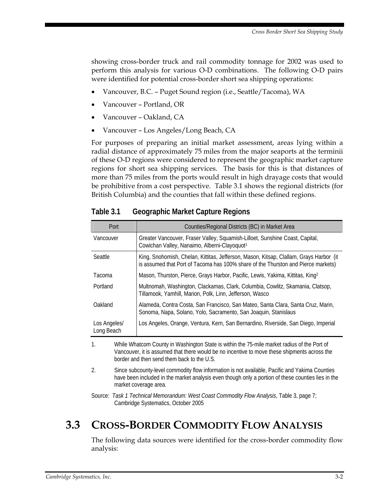showing cross-border truck and rail commodity tonnage for 2002 was used to perform this analysis for various O-D combinations. The following O-D pairs were identified for potential cross-border short sea shipping operations:

- Vancouver, B.C. Puget Sound region (i.e., Seattle/Tacoma), WA
- Vancouver Portland, OR
- Vancouver Oakland, CA
- Vancouver Los Angeles/Long Beach, CA

For purposes of preparing an initial market assessment, areas lying within a radial distance of approximately 75 miles from the major seaports at the terminii of these O-D regions were considered to represent the geographic market capture regions for short sea shipping services. The basis for this is that distances of more than 75 miles from the ports would result in high drayage costs that would be prohibitive from a cost perspective. Table 3.1 shows the regional districts (for British Columbia) and the counties that fall within these defined regions.

| Port                       | Counties/Regional Districts (BC) in Market Area                                                                                                                             |
|----------------------------|-----------------------------------------------------------------------------------------------------------------------------------------------------------------------------|
| Vancouver                  | Greater Vancouver, Fraser Valley, Squamish-Lilloet, Sunshine Coast, Capital,<br>Cowichan Valley, Nanaimo, Alberni-Clayoquot <sup>1</sup>                                    |
| Seattle                    | King, Snohomish, Chelan, Kittitas, Jefferson, Mason, Kitsap, Clallam, Grays Harbor (it<br>is assumed that Port of Tacoma has 100% share of the Thurston and Pierce markets) |
| Tacoma                     | Mason, Thurston, Pierce, Grays Harbor, Pacific, Lewis, Yakima, Kittitas, King <sup>2</sup>                                                                                  |
| Portland                   | Multnomah, Washington, Clackamas, Clark, Columbia, Cowlitz, Skamania, Clatsop,<br>Tillamook, Yamhill, Marion, Polk, Linn, Jefferson, Wasco                                  |
| Oakland                    | Alameda, Contra Costa, San Francisco, San Mateo, Santa Clara, Santa Cruz, Marin,<br>Sonoma, Napa, Solano, Yolo, Sacramento, San Joaquin, Stanislaus                         |
| Los Angeles/<br>Long Beach | Los Angeles, Orange, Ventura, Kern, San Bernardino, Riverside, San Diego, Imperial                                                                                          |

**Table 3.1 Geographic Market Capture Regions** 

1. While Whatcom County in Washington State is within the 75-mile market radius of the Port of Vancouver, it is assumed that there would be no incentive to move these shipments across the border and then send them back to the U.S.

2. Since subcounty-level commodity flow information is not available, Pacific and Yakima Counties have been included in the market analysis even though only a portion of these counties lies in the market coverage area.

Source: *Task 1 Technical Memorandum: West Coast Commodity Flow Analysis*, Table 3, page 7; Cambridge Systematics, October 2005

# **3.3 CROSS-BORDER COMMODITY FLOW ANALYSIS**

The following data sources were identified for the cross-border commodity flow analysis: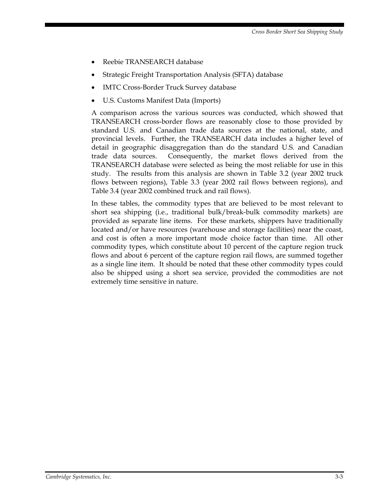- Reebie TRANSEARCH database
- Strategic Freight Transportation Analysis (SFTA) database
- IMTC Cross-Border Truck Survey database
- U.S. Customs Manifest Data (Imports)

A comparison across the various sources was conducted, which showed that TRANSEARCH cross-border flows are reasonably close to those provided by standard U.S. and Canadian trade data sources at the national, state, and provincial levels. Further, the TRANSEARCH data includes a higher level of detail in geographic disaggregation than do the standard U.S. and Canadian trade data sources. Consequently, the market flows derived from the TRANSEARCH database were selected as being the most reliable for use in this study. The results from this analysis are shown in Table 3.2 (year 2002 truck flows between regions), Table 3.3 (year 2002 rail flows between regions), and Table 3.4 (year 2002 combined truck and rail flows).

In these tables, the commodity types that are believed to be most relevant to short sea shipping (i.e., traditional bulk/break-bulk commodity markets) are provided as separate line items. For these markets, shippers have traditionally located and/or have resources (warehouse and storage facilities) near the coast, and cost is often a more important mode choice factor than time. All other commodity types, which constitute about 10 percent of the capture region truck flows and about 6 percent of the capture region rail flows, are summed together as a single line item. It should be noted that these other commodity types could also be shipped using a short sea service, provided the commodities are not extremely time sensitive in nature.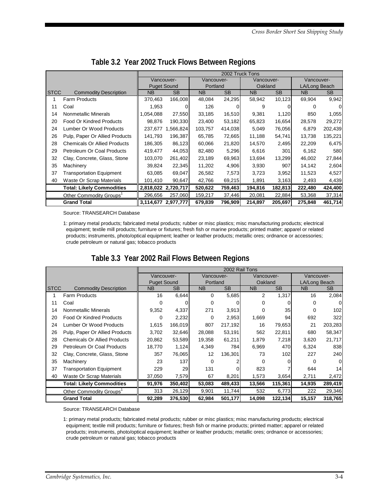|             |                                     | 2002 Truck Tons    |                     |            |           |            |           |               |           |
|-------------|-------------------------------------|--------------------|---------------------|------------|-----------|------------|-----------|---------------|-----------|
|             |                                     |                    | Vancouver-          | Vancouver- |           | Vancouver- |           | Vancouver-    |           |
|             |                                     | <b>Puget Sound</b> |                     | Portland   |           | Oakland    |           | LA/Long Beach |           |
| <b>STCC</b> | <b>Commodity Description</b>        | <b>NB</b>          | <b>SB</b>           | <b>NB</b>  | <b>SB</b> | <b>NB</b>  | <b>SB</b> | NB.           | <b>SB</b> |
| 1           | <b>Farm Products</b>                | 370,463            | 166,008             | 48,084     | 24,295    | 58,942     | 10,123    | 69,904        | 9,942     |
| 11          | Coal                                | 1,953              | 0                   | 126        |           | 9          |           | 0             | O         |
| 14          | Nonmetallic Minerals                | .054,088           | 27,550              | 33,185     | 16,510    | 9,381      | 1,120     | 850           | 1,055     |
| 20          | <b>Food Or Kindred Products</b>     | 98,876             | 190,330             | 23,400     | 53,182    | 65,823     | 16,654    | 28,578        | 29,272    |
| 24          | Lumber Or Wood Products             | 237,677            | .566,824            | 103,757    | 414,038   | 5,049      | 76,056    | 6,879         | 202,439   |
| 26          | Pulp, Paper Or Allied Products      | 141,793            | 196,387             | 65,785     | 72,665    | 11,188     | 54,741    | 13,738        | 135,221   |
| 28          | <b>Chemicals Or Allied Products</b> | 186,305            | 86,123              | 60,066     | 21,820    | 14,570     | 2,495     | 22,209        | 6,475     |
| 29          | Petroleum Or Coal Products          | 419,477            | 44,053              | 82,480     | 5,296     | 6,616      | 301       | 6,162         | 580       |
| 32          | Clay, Concrete, Glass, Stone        | 103,070            | 261,402             | 23,189     | 69,963    | 13,694     | 13,299    | 46,002        | 27,844    |
| 35          | Machinery                           | 39,824             | 22,345              | 11,202     | 4,906     | 3,930      | 907       | 14,142        | 2,604     |
| 37          | <b>Transportation Equipment</b>     | 63,085             | 69,047              | 26,582     | 7,573     | 3,723      | 3,952     | 11,523        | 4,527     |
| 40          | Waste Or Scrap Materials            | 101,410            | 90,647              | 42,766     | 69,215    | 1,891      | 3,163     | 2,493         | 4,439     |
|             | <b>Total: Likely Commodities</b>    |                    | 2,818,022 2,720,717 | 520,622    | 759,463   | 194,816    | 182,813   | 222,480       | 424,400   |
|             | Other Commodity Groups'             | 296,656            | 257,060             | 159,217    | 37,446    | 20,081     | 22,884    | 53,368        | 37,314    |
|             | <b>Grand Total</b>                  |                    | 3,114,677 2,977,777 | 679,839    | 796,909   | 214,897    | 205,697   | 275,848       | 461,714   |

#### **Table 3.2 Year 2002 Truck Flows Between Regions**

Source: TRANSEARCH Database

1: primary metal products; fabricated metal products; rubber or misc plastics; misc manufacturing products; electrical equipment; textile mill products; furniture or fixtures; fresh fish or marine products; printed matter; apparel or related products; instruments, photo/optical equipment; leather or leather products; metallic ores; ordnance or accessories; crude petroleum or natural gas; tobacco products

#### **Table 3.3 Year 2002 Rail Flows Between Regions**

|             |                                     | 2002 Rail Tons     |           |            |           |              |           |               |           |
|-------------|-------------------------------------|--------------------|-----------|------------|-----------|--------------|-----------|---------------|-----------|
|             |                                     | Vancouver-         |           | Vancouver- |           | Vancouver-   |           | Vancouver-    |           |
|             |                                     | <b>Puget Sound</b> |           | Portland   |           | Oakland      |           | LA/Long Beach |           |
| <b>STCC</b> | <b>Commodity Description</b>        | NB.                | <b>SB</b> | <b>NB</b>  | <b>SB</b> | <b>NB</b>    | <b>SB</b> | <b>NB</b>     | <b>SB</b> |
| 1           | <b>Farm Products</b>                | 16                 | 6,644     | 0          | 5,685     | 2            | 1,317     | 16            | 2,084     |
| 11          | Coal                                | 0                  | 0         | 0          | 0         | 0            |           | 0             | $\Omega$  |
| 14          | Nonmetallic Minerals                | 9,352              | 4,337     | 271        | 3,913     | $\Omega$     | 35        | 0             | 102       |
| 20          | <b>Food Or Kindred Products</b>     | 0                  | 2,232     | 0          | 2,953     | 1,669        | 94        | 692           | 322       |
| 24          | Lumber Or Wood Products             | 1,615              | 166,019   | 807        | 217,192   | 16           | 79,653    | 21            | 203,283   |
| 26          | Pulp, Paper Or Allied Products      | 3,702              | 32,646    | 28,088     | 53,191    | 562          | 22,811    | 680           | 58,347    |
| 28          | <b>Chemicals Or Allied Products</b> | 20,862             | 53,589    | 19,358     | 61,211    | 1,879        | 7,218     | 3,620         | 21,717    |
| 29          | Petroleum Or Coal Products          | 18,770             | 1,124     | 4,349      | 784       | 6,969        | 470       | 6,324         | 838       |
| 32          | Clay, Concrete, Glass, Stone        | 357                | 76,065    | 12         | 136,301   | 73           | 102       | 227           | 240       |
| 35          | Machinery                           | 23                 | 137       | 0          |           | <sup>0</sup> |           | 0             | $\Omega$  |
| 37          | <b>Transportation Equipment</b>     | 229                | 29        | 131        | 0         | 823          |           | 644           | 14        |
| 40          | Waste Or Scrap Materials            | 37,050             | 7,579     | 67         | 8,201     | 1,573        | 3,654     | 2,711         | 2,472     |
|             | <b>Total: Likely Commodities</b>    | 91,976             | 350,402   | 53,083     | 489,433   | 13,566       | 115,361   | 14,935        | 289,419   |
|             | Other Commodity Groups <sup>1</sup> | 313                | 26,129    | 9,901      | 11,744    | 532          | 6,773     | 222           | 29,346    |
|             | <b>Grand Total</b>                  | 92,289             | 376,530   | 62,984     | 501,177   | 14,098       | 122,134   | 15,157        | 318,765   |

Source: TRANSEARCH Database

1: primary metal products; fabricated metal products; rubber or misc plastics; misc manufacturing products; electrical equipment; textile mill products; furniture or fixtures; fresh fish or marine products; printed matter; apparel or related products; instruments, photo/optical equipment; leather or leather products; metallic ores; ordnance or accessories; crude petroleum or natural gas; tobacco products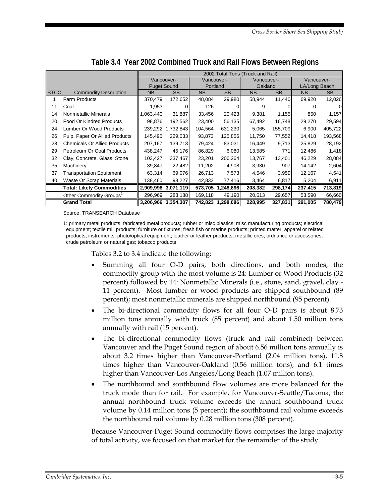|              |                                     | 2002 Total Tons (Truck and Rail) |                     |            |                   |                |         |               |         |
|--------------|-------------------------------------|----------------------------------|---------------------|------------|-------------------|----------------|---------|---------------|---------|
|              |                                     | Vancouver-                       |                     | Vancouver- |                   | Vancouver-     |         | Vancouver-    |         |
|              |                                     | <b>Puget Sound</b>               |                     | Portland   |                   | Oakland        |         | LA/Long Beach |         |
| <b>ISTCC</b> | <b>Commodity Description</b>        | <b>NB</b>                        | <b>SB</b>           | NB.        | <b>SB</b>         | N <sub>B</sub> | SB.     | NB.           | SB.     |
|              | <b>Farm Products</b>                | 370,479                          | 172,652             | 48.084     | 29,980            | 58,944         | 11,440  | 69,920        | 12,026  |
| 11           | Coal                                | 1,953                            |                     | 126        |                   | 9              |         | 0             | 0       |
| 14           | Nonmetallic Minerals                | .063,440                         | 31,887              | 33,456     | 20,423            | 9,381          | 1,155   | 850           | 1,157   |
| 20           | <b>Food Or Kindred Products</b>     | 98,876                           | 192,562             | 23,400     | 56,135            | 67,492         | 16,748  | 29,270        | 29,594  |
| 24           | Lumber Or Wood Products             | 239,292                          | 1,732,843           | 104,564    | 631,230           | 5,065          | 155,709 | 6,900         | 405,722 |
| 26           | Pulp, Paper Or Allied Products      | 145,495                          | 229,033             | 93,873     | 125,856           | 11,750         | 77,552  | 14,418        | 193,568 |
| 28           | <b>Chemicals Or Allied Products</b> | 207,167                          | 139,713             | 79,424     | 83,031            | 16,449         | 9,713   | 25,829        | 28,192  |
| 29           | Petroleum Or Coal Products          | 438,247                          | 45,176              | 86,829     | 6,080             | 13,585         | 771     | 12,486        | 1,418   |
| 32           | Clay, Concrete, Glass, Stone        | 103,427                          | 337,467             | 23,201     | 206,264           | 13,767         | 13,401  | 46,229        | 28,084  |
| 35           | Machinery                           | 39.847                           | 22,482              | 11,202     | 4,908             | 3,930          | 907     | 14,142        | 2,604   |
| 37           | Transportation Equipment            | 63.314                           | 69,076              | 26,713     | 7,573             | 4,546          | 3,959   | 12,167        | 4,541   |
| 40           | Waste Or Scrap Materials            | 138,460                          | 98,227              | 42,833     | 77,416            | 3,464          | 6,817   | 5,204         | 6,911   |
|              | <b>Total: Likely Commodities</b>    |                                  | 2,909,998 3,071,119 |            | 573,705 1,248,896 | 208,382        | 298,174 | 237,415       | 713,819 |
|              | Other Commodity Groups <sup>1</sup> | 296,969                          | 283,188             | 169,118    | 49,190            | 20,613         | 29,657  | 53,590        | 66,660  |
|              | <b>Grand Total</b>                  |                                  | 3.206.966 3.354.307 |            | 742,823 1,298,086 | 228,995        | 327,831 | 291,005       | 780,479 |

**Table 3.4 Year 2002 Combined Truck and Rail Flows Between Regions** 

Source: TRANSEARCH Database

1: primary metal products; fabricated metal products; rubber or misc plastics; misc manufacturing products; electrical equipment; textile mill products; furniture or fixtures; fresh fish or marine products; printed matter; apparel or related products; instruments, photo/optical equipment; leather or leather products; metallic ores; ordnance or accessories; crude petroleum or natural gas; tobacco products

Tables 3.2 to 3.4 indicate the following:

- Summing all four O-D pairs, both directions, and both modes, the commodity group with the most volume is 24: Lumber or Wood Products (32 percent) followed by 14: Nonmetallic Minerals (i.e., stone, sand, gravel, clay - 11 percent). Most lumber or wood products are shipped southbound (89 percent); most nonmetallic minerals are shipped northbound (95 percent).
- The bi-directional commodity flows for all four O-D pairs is about 8.73 million tons annually with truck (85 percent) and about 1.50 million tons annually with rail (15 percent).
- The bi-directional commodity flows (truck and rail combined) between Vancouver and the Puget Sound region of about 6.56 million tons annually is about 3.2 times higher than Vancouver-Portland (2.04 million tons), 11.8 times higher than Vancouver-Oakland (0.56 million tons), and 6.1 times higher than Vancouver-Los Angeles/Long Beach (1.07 million tons).
- The northbound and southbound flow volumes are more balanced for the truck mode than for rail. For example, for Vancouver-Seattle/Tacoma, the annual northbound truck volume exceeds the annual southbound truck volume by 0.14 million tons (5 percent); the southbound rail volume exceeds the northbound rail volume by 0.28 million tons (308 percent).

Because Vancouver-Puget Sound commodity flows comprises the large majority of total activity, we focused on that market for the remainder of the study.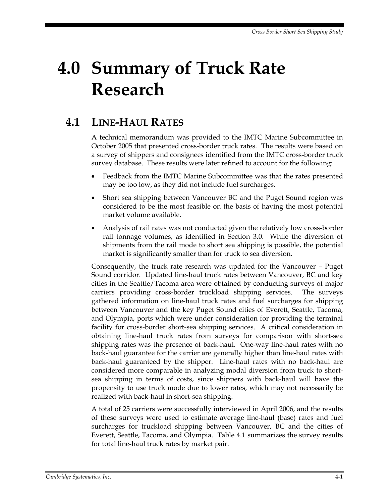# **4.0 Summary of Truck Rate Research**

# **4.1 LINE-HAUL RATES**

A technical memorandum was provided to the IMTC Marine Subcommittee in October 2005 that presented cross-border truck rates. The results were based on a survey of shippers and consignees identified from the IMTC cross-border truck survey database. These results were later refined to account for the following:

- Feedback from the IMTC Marine Subcommittee was that the rates presented may be too low, as they did not include fuel surcharges.
- Short sea shipping between Vancouver BC and the Puget Sound region was considered to be the most feasible on the basis of having the most potential market volume available.
- Analysis of rail rates was not conducted given the relatively low cross-border rail tonnage volumes, as identified in Section 3.0. While the diversion of shipments from the rail mode to short sea shipping is possible, the potential market is significantly smaller than for truck to sea diversion.

Consequently, the truck rate research was updated for the Vancouver – Puget Sound corridor. Updated line-haul truck rates between Vancouver, BC and key cities in the Seattle/Tacoma area were obtained by conducting surveys of major carriers providing cross-border truckload shipping services. The surveys gathered information on line-haul truck rates and fuel surcharges for shipping between Vancouver and the key Puget Sound cities of Everett, Seattle, Tacoma, and Olympia, ports which were under consideration for providing the terminal facility for cross-border short-sea shipping services. A critical consideration in obtaining line-haul truck rates from surveys for comparison with short-sea shipping rates was the presence of back-haul. One-way line-haul rates with no back-haul guarantee for the carrier are generally higher than line-haul rates with back-haul guaranteed by the shipper. Line-haul rates with no back-haul are considered more comparable in analyzing modal diversion from truck to shortsea shipping in terms of costs, since shippers with back-haul will have the propensity to use truck mode due to lower rates, which may not necessarily be realized with back-haul in short-sea shipping.

A total of 25 carriers were successfully interviewed in April 2006, and the results of these surveys were used to estimate average line-haul (base) rates and fuel surcharges for truckload shipping between Vancouver, BC and the cities of Everett, Seattle, Tacoma, and Olympia. Table 4.1 summarizes the survey results for total line-haul truck rates by market pair.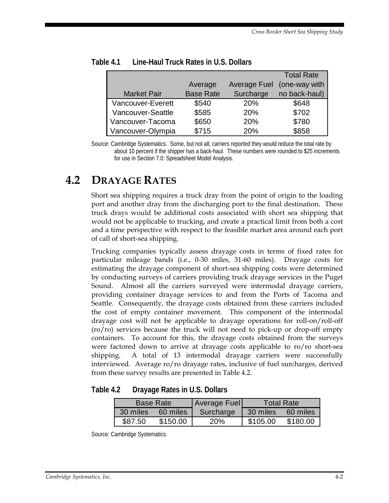|                    |                  |                     | <b>Total Rate</b> |
|--------------------|------------------|---------------------|-------------------|
|                    | Average          | <b>Average Fuel</b> | (one-way with     |
| <b>Market Pair</b> | <b>Base Rate</b> | Surcharge           | no back-haul)     |
| Vancouver-Everett  | \$540            | 20%                 | \$648             |
| Vancouver-Seattle  | \$585            | 20%                 | \$702             |
| Vancouver-Tacoma   | \$650            | 20%                 | \$780             |
| Vancouver-Olympia  | \$715            | 20%                 | \$858             |

**Table 4.1 Line-Haul Truck Rates in U.S. Dollars** 

Source: Cambridge Systematics. Some, but not all, carriers reported they would reduce the total rate by about 10 percent if the shipper has a back-haul. These numbers were rounded to \$25 increments for use in Section 7.0: Spreadsheet Model Analysis.

# **4.2 DRAYAGE RATES**

Short sea shipping requires a truck dray from the point of origin to the loading port and another dray from the discharging port to the final destination. These truck drays would be additional costs associated with short sea shipping that would not be applicable to trucking, and create a practical limit from both a cost and a time perspective with respect to the feasible market area around each port of call of short-sea shipping.

Trucking companies typically assess drayage costs in terms of fixed rates for particular mileage bands (i.e., 0-30 miles, 31-60 miles). Drayage costs for estimating the drayage component of short-sea shipping costs were determined by conducting surveys of carriers providing truck drayage services in the Puget Sound. Almost all the carriers surveyed were intermodal drayage carriers, providing container drayage services to and from the Ports of Tacoma and Seattle. Consequently, the drayage costs obtained from these carriers included the cost of empty container movement. This component of the intermodal drayage cost will not be applicable to drayage operations for roll-on/roll-off (ro/ro) services because the truck will not need to pick-up or drop-off empty containers. To account for this, the drayage costs obtained from the surveys were factored down to arrive at drayage costs applicable to ro/ro short-sea shipping. A total of 13 intermodal drayage carriers were successfully interviewed. Average ro/ro drayage rates, inclusive of fuel surcharges, derived from these survey results are presented in Table 4.2.

| Table 4.2 |  | Drayage Rates in U.S. Dollars |
|-----------|--|-------------------------------|
|           |  |                               |

|          | <b>Base Rate</b> | <b>Average Fuel</b> | <b>Total Rate</b> |          |  |
|----------|------------------|---------------------|-------------------|----------|--|
| 30 miles | 60 miles         | Surcharge           | 30 miles          | 60 miles |  |
| \$87.50  | \$150.00         | <b>20%</b>          | \$105.00          | \$180.00 |  |

Source: Cambridge Systematics.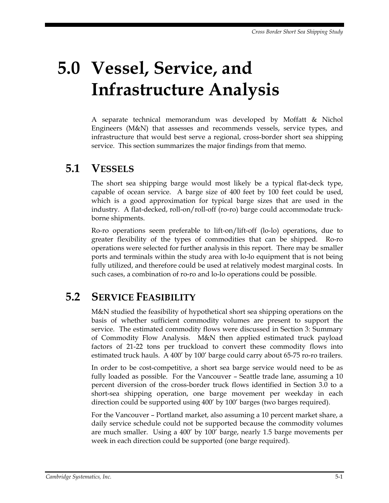# **5.0 Vessel, Service, and Infrastructure Analysis**

A separate technical memorandum was developed by Moffatt & Nichol Engineers (M&N) that assesses and recommends vessels, service types, and infrastructure that would best serve a regional, cross-border short sea shipping service. This section summarizes the major findings from that memo.

### **5.1 VESSELS**

The short sea shipping barge would most likely be a typical flat-deck type, capable of ocean service. A barge size of 400 feet by 100 feet could be used, which is a good approximation for typical barge sizes that are used in the industry. A flat-decked, roll-on/roll-off (ro-ro) barge could accommodate truckborne shipments.

Ro-ro operations seem preferable to lift-on/lift-off (lo-lo) operations, due to greater flexibility of the types of commodities that can be shipped. Ro-ro operations were selected for further analysis in this report. There may be smaller ports and terminals within the study area with lo-lo equipment that is not being fully utilized, and therefore could be used at relatively modest marginal costs. In such cases, a combination of ro-ro and lo-lo operations could be possible.

# **5.2 SERVICE FEASIBILITY**

M&N studied the feasibility of hypothetical short sea shipping operations on the basis of whether sufficient commodity volumes are present to support the service. The estimated commodity flows were discussed in Section 3: Summary of Commodity Flow Analysis. M&N then applied estimated truck payload factors of 21-22 tons per truckload to convert these commodity flows into estimated truck hauls. A 400' by 100' barge could carry about 65-75 ro-ro trailers.

In order to be cost-competitive, a short sea barge service would need to be as fully loaded as possible. For the Vancouver – Seattle trade lane, assuming a 10 percent diversion of the cross-border truck flows identified in Section 3.0 to a short-sea shipping operation, one barge movement per weekday in each direction could be supported using 400' by 100' barges (two barges required).

For the Vancouver – Portland market, also assuming a 10 percent market share, a daily service schedule could not be supported because the commodity volumes are much smaller. Using a 400' by 100' barge, nearly 1.5 barge movements per week in each direction could be supported (one barge required).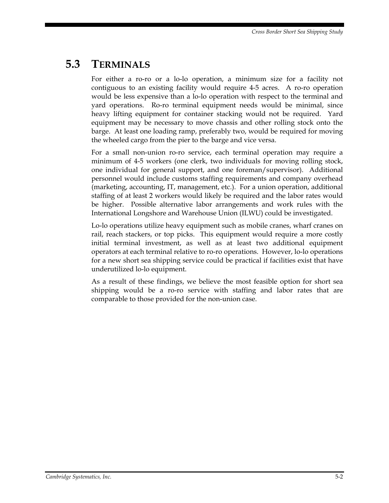# **5.3 TERMINALS**

For either a ro-ro or a lo-lo operation, a minimum size for a facility not contiguous to an existing facility would require 4-5 acres. A ro-ro operation would be less expensive than a lo-lo operation with respect to the terminal and yard operations. Ro-ro terminal equipment needs would be minimal, since heavy lifting equipment for container stacking would not be required. Yard equipment may be necessary to move chassis and other rolling stock onto the barge. At least one loading ramp, preferably two, would be required for moving the wheeled cargo from the pier to the barge and vice versa.

For a small non-union ro-ro service, each terminal operation may require a minimum of 4-5 workers (one clerk, two individuals for moving rolling stock, one individual for general support, and one foreman/supervisor). Additional personnel would include customs staffing requirements and company overhead (marketing, accounting, IT, management, etc.). For a union operation, additional staffing of at least 2 workers would likely be required and the labor rates would be higher. Possible alternative labor arrangements and work rules with the International Longshore and Warehouse Union (ILWU) could be investigated.

Lo-lo operations utilize heavy equipment such as mobile cranes, wharf cranes on rail, reach stackers, or top picks. This equipment would require a more costly initial terminal investment, as well as at least two additional equipment operators at each terminal relative to ro-ro operations. However, lo-lo operations for a new short sea shipping service could be practical if facilities exist that have underutilized lo-lo equipment.

As a result of these findings, we believe the most feasible option for short sea shipping would be a ro-ro service with staffing and labor rates that are comparable to those provided for the non-union case.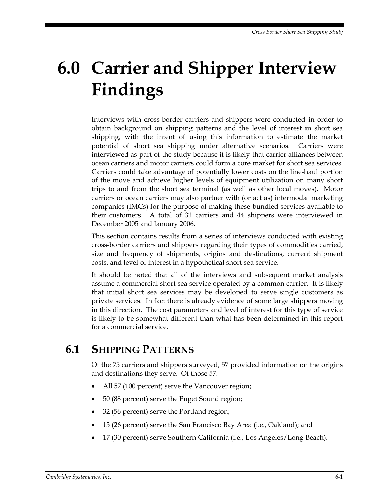# **6.0 Carrier and Shipper Interview Findings**

Interviews with cross-border carriers and shippers were conducted in order to obtain background on shipping patterns and the level of interest in short sea shipping, with the intent of using this information to estimate the market potential of short sea shipping under alternative scenarios. Carriers were interviewed as part of the study because it is likely that carrier alliances between ocean carriers and motor carriers could form a core market for short sea services. Carriers could take advantage of potentially lower costs on the line-haul portion of the move and achieve higher levels of equipment utilization on many short trips to and from the short sea terminal (as well as other local moves). Motor carriers or ocean carriers may also partner with (or act as) intermodal marketing companies (IMCs) for the purpose of making these bundled services available to their customers. A total of 31 carriers and 44 shippers were interviewed in December 2005 and January 2006.

This section contains results from a series of interviews conducted with existing cross-border carriers and shippers regarding their types of commodities carried, size and frequency of shipments, origins and destinations, current shipment costs, and level of interest in a hypothetical short sea service.

It should be noted that all of the interviews and subsequent market analysis assume a commercial short sea service operated by a common carrier. It is likely that initial short sea services may be developed to serve single customers as private services. In fact there is already evidence of some large shippers moving in this direction. The cost parameters and level of interest for this type of service is likely to be somewhat different than what has been determined in this report for a commercial service.

### **6.1 SHIPPING PATTERNS**

Of the 75 carriers and shippers surveyed, 57 provided information on the origins and destinations they serve. Of those 57:

- All 57 (100 percent) serve the Vancouver region;
- 50 (88 percent) serve the Puget Sound region;
- 32 (56 percent) serve the Portland region;
- 15 (26 percent) serve the San Francisco Bay Area (i.e., Oakland); and
- 17 (30 percent) serve Southern California (i.e., Los Angeles/Long Beach).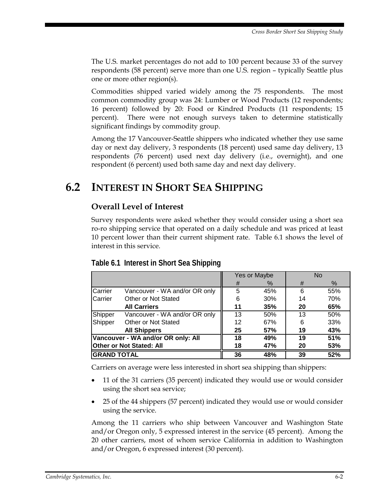The U.S. market percentages do not add to 100 percent because 33 of the survey respondents (58 percent) serve more than one U.S. region – typically Seattle plus one or more other region(s).

Commodities shipped varied widely among the 75 respondents. The most common commodity group was 24: Lumber or Wood Products (12 respondents; 16 percent) followed by 20: Food or Kindred Products (11 respondents; 15 percent). There were not enough surveys taken to determine statistically significant findings by commodity group.

Among the 17 Vancouver-Seattle shippers who indicated whether they use same day or next day delivery, 3 respondents (18 percent) used same day delivery, 13 respondents (76 percent) used next day delivery (i.e., overnight), and one respondent (6 percent) used both same day and next day delivery.

# **6.2 INTEREST IN SHORT SEA SHIPPING**

#### **Overall Level of Interest**

Survey respondents were asked whether they would consider using a short sea ro-ro shipping service that operated on a daily schedule and was priced at least 10 percent lower than their current shipment rate. Table 6.1 shows the level of interest in this service.

|                          |                                    | Yes or Maybe |      | <b>No</b> |      |
|--------------------------|------------------------------------|--------------|------|-----------|------|
|                          |                                    | #            | $\%$ | #         | $\%$ |
| Carrier                  | Vancouver - WA and/or OR only      | 5            | 45%  | 6         | 55%  |
| Carrier                  | Other or Not Stated                | 6            | 30%  | 14        | 70%  |
|                          | <b>All Carriers</b>                | 11           | 35%  | 20        | 65%  |
| Shipper                  | Vancouver - WA and/or OR only      | 13           | 50%  | 13        | 50%  |
| Shipper                  | Other or Not Stated                | 12           | 67%  | 6         | 33%  |
|                          | <b>All Shippers</b>                | 25           | 57%  | 19        | 43%  |
|                          | Vancouver - WA and/or OR only: All |              | 49%  | 19        | 51%  |
| Other or Not Stated: All |                                    | 18           | 47%  | 20        | 53%  |
|                          | <b>GRAND TOTAL</b>                 |              | 48%  | 39        | 52%  |

#### **Table 6.1 Interest in Short Sea Shipping**

Carriers on average were less interested in short sea shipping than shippers:

- 11 of the 31 carriers (35 percent) indicated they would use or would consider using the short sea service;
- 25 of the 44 shippers (57 percent) indicated they would use or would consider using the service.

Among the 11 carriers who ship between Vancouver and Washington State and/or Oregon only, 5 expressed interest in the service (45 percent). Among the 20 other carriers, most of whom service California in addition to Washington and/or Oregon, 6 expressed interest (30 percent).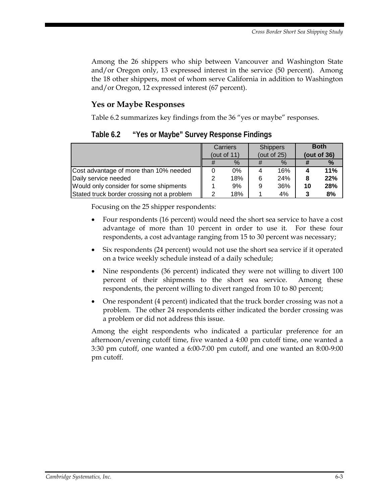Among the 26 shippers who ship between Vancouver and Washington State and/or Oregon only, 13 expressed interest in the service (50 percent). Among the 18 other shippers, most of whom serve California in addition to Washington and/or Oregon, 12 expressed interest (67 percent).

#### **Yes or Maybe Responses**

Table 6.2 summarizes key findings from the 36 "yes or maybe" responses.

**Table 6.2 "Yes or Maybe" Survey Response Findings** 

|                                            | Carriers       |   | <b>Shippers</b> |    | <b>Both</b> |
|--------------------------------------------|----------------|---|-----------------|----|-------------|
|                                            | (out of $11$ ) |   | (out of $25$ )  |    | (out of 36) |
|                                            | $\%$           |   | $\%$            |    | %           |
| Cost advantage of more than 10% needed     | 0%             |   | 16%             |    | 11%         |
| Daily service needed                       | 18%            | 6 | 24%             |    | 22%         |
| Would only consider for some shipments     | 9%             | 9 | 36%             | 10 | 28%         |
| Stated truck border crossing not a problem | 18%            |   | 4%              |    | 8%          |

Focusing on the 25 shipper respondents:

- Four respondents (16 percent) would need the short sea service to have a cost advantage of more than 10 percent in order to use it. For these four respondents, a cost advantage ranging from 15 to 30 percent was necessary;
- Six respondents (24 percent) would not use the short sea service if it operated on a twice weekly schedule instead of a daily schedule;
- Nine respondents (36 percent) indicated they were not willing to divert 100 percent of their shipments to the short sea service. Among these respondents, the percent willing to divert ranged from 10 to 80 percent;
- One respondent (4 percent) indicated that the truck border crossing was not a problem. The other 24 respondents either indicated the border crossing was a problem or did not address this issue.

Among the eight respondents who indicated a particular preference for an afternoon/evening cutoff time, five wanted a 4:00 pm cutoff time, one wanted a 3:30 pm cutoff, one wanted a 6:00-7:00 pm cutoff, and one wanted an 8:00-9:00 pm cutoff.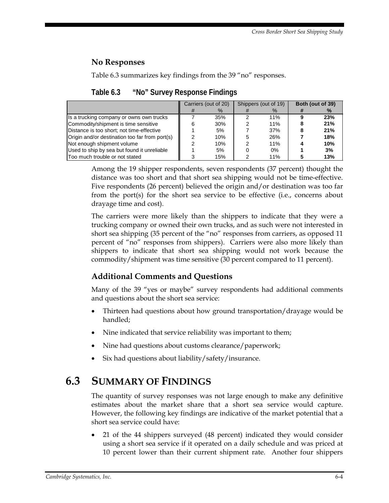#### **No Responses**

Table 6.3 summarizes key findings from the 39 "no" responses.

|                                                |              | Carriers (out of 20) | Shippers (out of 19) | Both (out of 39) |
|------------------------------------------------|--------------|----------------------|----------------------|------------------|
|                                                | $^{\rm \pi}$ | $\%$                 | $\%$                 | $\frac{9}{6}$    |
| Is a trucking company or owns own trucks       |              | 35%                  | 11%                  | 23%              |
| Commodity/shipment is time sensitive           | 6            | 30%                  | 11%                  | 21%              |
| Distance is too short: not time-effective      |              | 5%                   | 37%                  | 21%              |
| Origin and/or destination too far from port(s) | ົ            | 10%                  | 26%                  | 18%              |
| Not enough shipment volume                     | っ            | 10%                  | 11%                  | 10%              |
| Used to ship by sea but found it unreliable    |              | 5%                   | 0%                   | 3%               |
| Too much trouble or not stated                 |              | 15%                  | 11%                  | 13%              |

**Table 6.3 "No" Survey Response Findings** 

Among the 19 shipper respondents, seven respondents (37 percent) thought the distance was too short and that short sea shipping would not be time-effective. Five respondents (26 percent) believed the origin and/or destination was too far from the port(s) for the short sea service to be effective (i.e., concerns about drayage time and cost).

The carriers were more likely than the shippers to indicate that they were a trucking company or owned their own trucks, and as such were not interested in short sea shipping (35 percent of the "no" responses from carriers, as opposed 11 percent of "no" responses from shippers). Carriers were also more likely than shippers to indicate that short sea shipping would not work because the commodity/shipment was time sensitive (30 percent compared to 11 percent).

#### **Additional Comments and Questions**

Many of the 39 "yes or maybe" survey respondents had additional comments and questions about the short sea service:

- Thirteen had questions about how ground transportation/drayage would be handled;
- Nine indicated that service reliability was important to them;
- Nine had questions about customs clearance/paperwork;
- Six had questions about liability/safety/insurance.

# **6.3 SUMMARY OF FINDINGS**

The quantity of survey responses was not large enough to make any definitive estimates about the market share that a short sea service would capture. However, the following key findings are indicative of the market potential that a short sea service could have:

• 21 of the 44 shippers surveyed (48 percent) indicated they would consider using a short sea service if it operated on a daily schedule and was priced at 10 percent lower than their current shipment rate. Another four shippers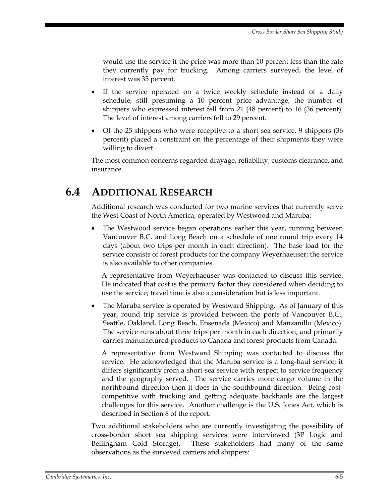would use the service if the price was more than 10 percent less than the rate they currently pay for trucking. Among carriers surveyed, the level of interest was 35 percent.

- If the service operated on a twice weekly schedule instead of a daily schedule, still presuming a 10 percent price advantage, the number of shippers who expressed interest fell from 21 (48 percent) to 16 (36 percent). The level of interest among carriers fell to 29 percent.
- Of the 25 shippers who were receptive to a short sea service, 9 shippers (36 percent) placed a constraint on the percentage of their shipments they were willing to divert.

The most common concerns regarded drayage, reliability, customs clearance, and insurance.

### **6.4 ADDITIONAL RESEARCH**

Additional research was conducted for two marine services that currently serve the West Coast of North America, operated by Westwood and Maruba:

The Westwood service began operations earlier this year, running between Vancouver B.C. and Long Beach on a schedule of one round trip every 14 days (about two trips per month in each direction). The base load for the service consists of forest products for the company Weyerhaeuser; the service is also available to other companies.

A representative from Weyerhaeuser was contacted to discuss this service. He indicated that cost is the primary factor they considered when deciding to use the service; travel time is also a consideration but is less important.

• The Maruba service is operated by Westward Shipping. As of January of this year, round trip service is provided between the ports of Vancouver B.C., Seattle, Oakland, Long Beach, Ensenada (Mexico) and Manzanillo (Mexico). The service runs about three trips per month in each direction, and primarily carries manufactured products to Canada and forest products from Canada.

A representative from Westward Shipping was contacted to discuss the service. He acknowledged that the Maruba service is a long-haul service; it differs significantly from a short-sea service with respect to service frequency and the geography served. The service carries more cargo volume in the northbound direction then it does in the southbound direction. Being costcompetitive with trucking and getting adequate backhauls are the largest challenges for this service. Another challenge is the U.S. Jones Act, which is described in Section 8 of the report.

Two additional stakeholders who are currently investigating the possibility of cross-border short sea shipping services were interviewed (3P Logic and Bellingham Cold Storage). These stakeholders had many of the same observations as the surveyed carriers and shippers: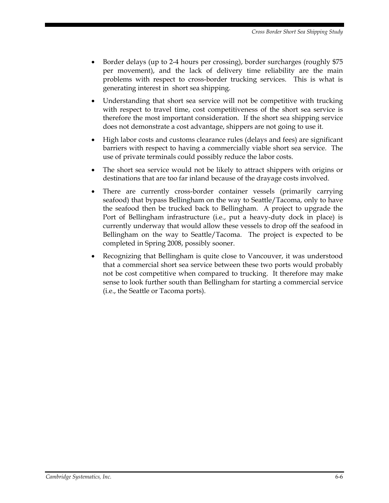- Border delays (up to 2-4 hours per crossing), border surcharges (roughly \$75 per movement), and the lack of delivery time reliability are the main problems with respect to cross-border trucking services. This is what is generating interest in short sea shipping.
- Understanding that short sea service will not be competitive with trucking with respect to travel time, cost competitiveness of the short sea service is therefore the most important consideration. If the short sea shipping service does not demonstrate a cost advantage, shippers are not going to use it.
- High labor costs and customs clearance rules (delays and fees) are significant barriers with respect to having a commercially viable short sea service. The use of private terminals could possibly reduce the labor costs.
- The short sea service would not be likely to attract shippers with origins or destinations that are too far inland because of the drayage costs involved.
- There are currently cross-border container vessels (primarily carrying seafood) that bypass Bellingham on the way to Seattle/Tacoma, only to have the seafood then be trucked back to Bellingham. A project to upgrade the Port of Bellingham infrastructure (i.e., put a heavy-duty dock in place) is currently underway that would allow these vessels to drop off the seafood in Bellingham on the way to Seattle/Tacoma. The project is expected to be completed in Spring 2008, possibly sooner.
- Recognizing that Bellingham is quite close to Vancouver, it was understood that a commercial short sea service between these two ports would probably not be cost competitive when compared to trucking. It therefore may make sense to look further south than Bellingham for starting a commercial service (i.e., the Seattle or Tacoma ports).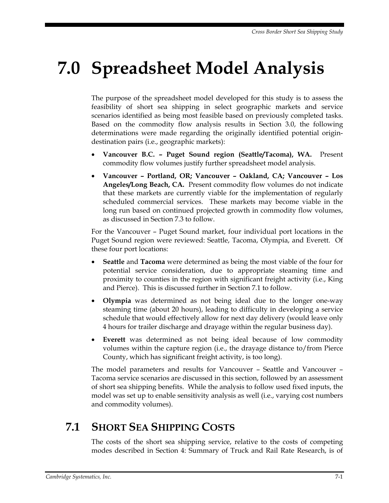# **7.0 Spreadsheet Model Analysis**

The purpose of the spreadsheet model developed for this study is to assess the feasibility of short sea shipping in select geographic markets and service scenarios identified as being most feasible based on previously completed tasks. Based on the commodity flow analysis results in Section 3.0, the following determinations were made regarding the originally identified potential origindestination pairs (i.e., geographic markets):

- **Vancouver B.C. Puget Sound region (Seattle/Tacoma), WA.** Present commodity flow volumes justify further spreadsheet model analysis.
- **Vancouver Portland, OR; Vancouver Oakland, CA; Vancouver Los Angeles/Long Beach, CA.** Present commodity flow volumes do not indicate that these markets are currently viable for the implementation of regularly scheduled commercial services. These markets may become viable in the long run based on continued projected growth in commodity flow volumes, as discussed in Section 7.3 to follow.

For the Vancouver – Puget Sound market, four individual port locations in the Puget Sound region were reviewed: Seattle, Tacoma, Olympia, and Everett. Of these four port locations:

- **Seattle** and **Tacoma** were determined as being the most viable of the four for potential service consideration, due to appropriate steaming time and proximity to counties in the region with significant freight activity (i.e., King and Pierce). This is discussed further in Section 7.1 to follow.
- **Olympia** was determined as not being ideal due to the longer one-way steaming time (about 20 hours), leading to difficulty in developing a service schedule that would effectively allow for next day delivery (would leave only 4 hours for trailer discharge and drayage within the regular business day).
- **Everett** was determined as not being ideal because of low commodity volumes within the capture region (i.e., the drayage distance to/from Pierce County, which has significant freight activity, is too long).

The model parameters and results for Vancouver – Seattle and Vancouver – Tacoma service scenarios are discussed in this section, followed by an assessment of short sea shipping benefits. While the analysis to follow used fixed inputs, the model was set up to enable sensitivity analysis as well (i.e., varying cost numbers and commodity volumes).

# **7.1 SHORT SEA SHIPPING COSTS**

The costs of the short sea shipping service, relative to the costs of competing modes described in Section 4: Summary of Truck and Rail Rate Research, is of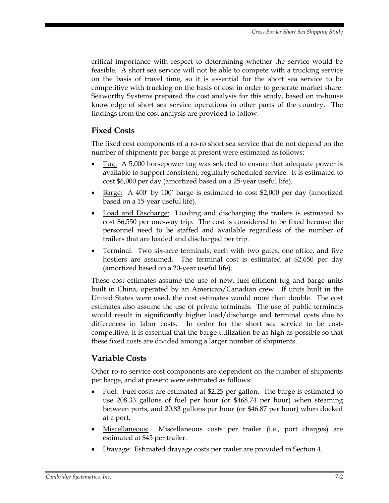critical importance with respect to determining whether the service would be feasible. A short sea service will not be able to compete with a trucking service on the basis of travel time, so it is essential for the short sea service to be competitive with trucking on the basis of cost in order to generate market share. Seaworthy Systems prepared the cost analysis for this study, based on in-house knowledge of short sea service operations in other parts of the country. The findings from the cost analysis are provided to follow.

#### **Fixed Costs**

The fixed cost components of a ro-ro short sea service that do not depend on the number of shipments per barge at present were estimated as follows:

- Tug: A 5,000 horsepower tug was selected to ensure that adequate power is available to support consistent, regularly scheduled service. It is estimated to cost \$6,000 per day (amortized based on a 25-year useful life).
- Barge: A 400' by 100' barge is estimated to cost \$2,000 per day (amortized based on a 15-year useful life).
- Load and Discharge: Loading and discharging the trailers is estimated to cost \$6,550 per one-way trip. The cost is considered to be fixed because the personnel need to be staffed and available regardless of the number of trailers that are loaded and discharged per trip.
- Terminal: Two six-acre terminals, each with two gates, one office, and five hostlers are assumed. The terminal cost is estimated at \$2,650 per day (amortized based on a 20-year useful life).

These cost estimates assume the use of new, fuel efficient tug and barge units built in China, operated by an American/Canadian crew. If units built in the United States were used, the cost estimates would more than double. The cost estimates also assume the use of private terminals. The use of public terminals would result in significantly higher load/discharge and terminal costs due to differences in labor costs. In order for the short sea service to be costcompetitive, it is essential that the barge utilization be as high as possible so that these fixed costs are divided among a larger number of shipments.

#### **Variable Costs**

Other ro-ro service cost components are dependent on the number of shipments per barge, and at present were estimated as follows:

- Fuel: Fuel costs are estimated at \$2.25 per gallon. The barge is estimated to use 208.33 gallons of fuel per hour (or \$468.74 per hour) when steaming between ports, and 20.83 gallons per hour (or \$46.87 per hour) when docked at a port.
- Miscellaneous: Miscellaneous costs per trailer (i.e., port charges) are estimated at \$45 per trailer.
- Drayage: Estimated drayage costs per trailer are provided in Section 4.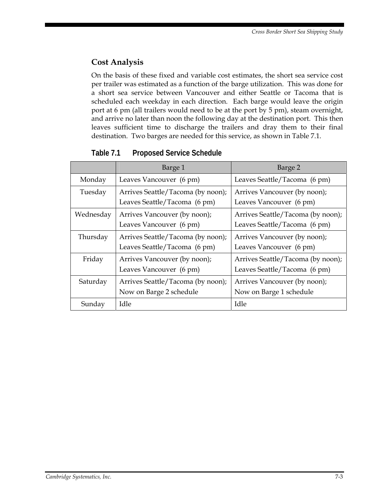#### **Cost Analysis**

On the basis of these fixed and variable cost estimates, the short sea service cost per trailer was estimated as a function of the barge utilization. This was done for a short sea service between Vancouver and either Seattle or Tacoma that is scheduled each weekday in each direction. Each barge would leave the origin port at 6 pm (all trailers would need to be at the port by 5 pm), steam overnight, and arrive no later than noon the following day at the destination port. This then leaves sufficient time to discharge the trailers and dray them to their final destination. Two barges are needed for this service, as shown in Table 7.1.

|           | Barge 1                           | Barge 2                           |
|-----------|-----------------------------------|-----------------------------------|
| Monday    | Leaves Vancouver (6 pm)           | Leaves Seattle/Tacoma (6 pm)      |
| Tuesday   | Arrives Seattle/Tacoma (by noon); | Arrives Vancouver (by noon);      |
|           | Leaves Seattle/Tacoma (6 pm)      | Leaves Vancouver (6 pm)           |
| Wednesday | Arrives Vancouver (by noon);      | Arrives Seattle/Tacoma (by noon); |
|           | Leaves Vancouver (6 pm)           | Leaves Seattle/Tacoma (6 pm)      |
| Thursday  | Arrives Seattle/Tacoma (by noon); | Arrives Vancouver (by noon);      |
|           | Leaves Seattle/Tacoma (6 pm)      | Leaves Vancouver (6 pm)           |
| Friday    | Arrives Vancouver (by noon);      | Arrives Seattle/Tacoma (by noon); |
|           | Leaves Vancouver (6 pm)           | Leaves Seattle/Tacoma (6 pm)      |
| Saturday  | Arrives Seattle/Tacoma (by noon); | Arrives Vancouver (by noon);      |
|           | Now on Barge 2 schedule           | Now on Barge 1 schedule           |
| Sunday    | Idle                              | Idle                              |

**Table 7.1 Proposed Service Schedule**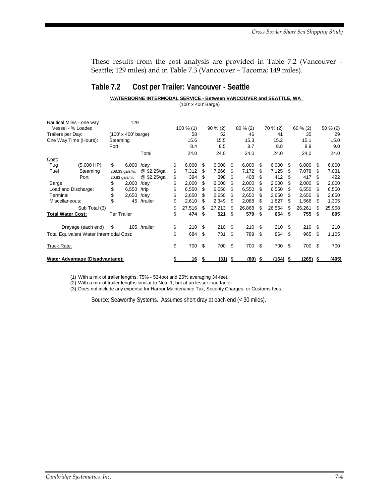These results from the cost analysis are provided in Table 7.2 (Vancouver – Seattle; 129 miles) and in Table 7.3 (Vancouver – Tacoma; 149 miles).

#### **Table 7.2 Cost per Trailer: Vancouver - Seattle**

#### **WATERBORNE INTERMODAL SERVICE - Between VANCOUVER and SEATTLE, WA**

(100' x 400' Barge)

| Nautical Miles - one way                |                    |                                    | 129             |               |           |        |            |        |          |        |      |            |            |        |          |        |
|-----------------------------------------|--------------------|------------------------------------|-----------------|---------------|-----------|--------|------------|--------|----------|--------|------|------------|------------|--------|----------|--------|
| Vessel - % Loaded<br>Trailers per Day:  |                    | $(100' \times 400' \text{ barge})$ |                 |               | 100 % (1) |        | $90\% (2)$ |        | 80 % (2) |        |      | $70\%$ (2) | $60\%$ (2) |        | 50 % (2) |        |
|                                         |                    |                                    |                 |               |           | 58     |            | 52     |          | 46     |      | 41         | 35         |        | 29       |        |
| One Way Time (Hours):                   |                    |                                    | Steaming        |               |           | 15.6   |            | 15.5   |          | 15.3   |      | 15.2       |            | 15.1   |          | 15.0   |
|                                         |                    | Port                               |                 |               |           | 8.4    |            | 8.5    |          | 8.7    |      | 8.8        |            | 8.9    |          | 9.0    |
|                                         |                    |                                    |                 | Total         |           | 24.0   |            | 24.0   |          | 24.0   |      | 24.0       |            | 24.0   |          | 24.0   |
| Cost:                                   |                    |                                    |                 |               |           |        |            |        |          |        |      |            |            |        |          |        |
| Tug                                     | $(5,000$ HP)       | \$                                 | 6,000           | /day          | \$        | 6,000  | S          | 6,000  | S        | 6,000  | S    | 6,000      | S          | 6,000  | S        | 6,000  |
| Fuel                                    | Steaming           |                                    | 208.33 gals/hr. | @ \$2.25/gal. |           | 7,312  | S          | 7,266  | S        | 7,172  | S    | 7,125      | S          | 7,078  |          | 7,031  |
|                                         | Port               |                                    | 20.83 gals/hr.  | @ \$2.25/gal. | \$        | 394    | \$         | 398    | \$       | 408    | S    | 412        | S          | 417    |          | 422    |
| Barge                                   |                    | \$                                 | 2,000           | /day          | \$        | 2,000  | S          | 2,000  | S        | 2,000  | S    | 2,000      | S          | 2,000  |          | 2,000  |
| Load and Discharge:                     |                    | \$                                 | 6,550           | /trip         | \$        | 6,550  | \$         | 6,550  | \$       | 6,550  | S    | 6,550      | S          | 6,550  | S        | 6,550  |
| Terminal                                |                    | \$                                 | 2,650           | /day          |           | 2,650  | S          | 2,650  | S        | 2,650  | S    | 2,650      | S          | 2,650  |          | 2,650  |
| Miscellaneous:                          |                    |                                    | 45              | /trailer      | \$        | 2,610  |            | 2,349  |          | 2,088  | \$   | 1,827      |            | 1,566  |          | 1,305  |
|                                         | Sub Total (3)      |                                    |                 |               | \$        | 27,516 | \$         | 27,213 | \$       | 26,868 | \$   | 26,564     | \$         | 26,261 |          | 25,958 |
| <b>Total Water Cost:</b>                |                    |                                    | Per Trailer     |               |           | 474    |            | 521    |          | 579    |      | 654        |            | 755    |          | 895    |
|                                         | Drayage (each end) | \$                                 | 105             | /trailer      | \$        | 210    | \$         | 210    | \$       | 210    | \$   | 210        | \$         | 210    | S        | 210    |
| Total Equivalent Water Intermodal Cost: |                    |                                    |                 |               | \$        | 684    | \$         | 731    | \$       | 789    | \$   | 864        | \$         | 965    | \$       | 1,105  |
| Truck Rate:                             |                    |                                    |                 |               | \$        | 700    | \$         | 700    | \$       | 700    | \$   | 700        | \$         | 700    | S        | 700    |
| Water Advantage (Disadvantage):         |                    |                                    | \$              | 16            | \$        | (31)   | \$         | (89)   | \$       | (164)  | - \$ | (265)      |            | (405)  |          |        |

(1) With a mix of trailer lengths, 75% - 53-foot and 25% averaging 34-feet.

With a mix of trailer lengths similar to Note 1, but at an lesser load factor. (2)

(3) Does not include any expense for Harbor Maintenance Tax, Security Charges, or Customs fees.

Source: Seaworthy Systems. Assumes short dray at each end (< 30 miles).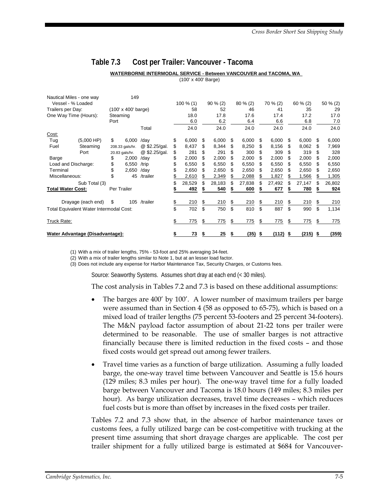#### **Table 7.3 Cost per Trailer: Vancouver - Tacoma**

#### **WATERBORNE INTERMODAL SERVICE - Between VANCOUVER and TACOMA, WA**  (100' x 400' Barge)

| Nautical Miles - one way                                |                    |             | 149             |               |              |            |        |            |        |          |        |            |            |             |        |
|---------------------------------------------------------|--------------------|-------------|-----------------|---------------|--------------|------------|--------|------------|--------|----------|--------|------------|------------|-------------|--------|
| Vessel - % Loaded                                       |                    |             |                 | $100 \% (1)$  |              | $90\% (2)$ |        | $80\%$ (2) |        | 70 % (2) |        | $60\%$ (2) |            | $50 \% (2)$ |        |
| $(100' \times 400' \text{ barge})$<br>Trailers per Day: |                    |             |                 | 58            |              | 52         |        | 46         |        | 41       |        | 35         |            | 29          |        |
| One Way Time (Hours):                                   |                    | Steaming    |                 |               | 18.0         |            | 17.8   |            | 17.6   |          | 17.4   | 17.2       |            |             | 17.0   |
|                                                         |                    | Port        |                 |               | 6.0          |            | 6.2    |            | 6.4    |          | 6.6    |            | 6.8        |             | 7.0    |
|                                                         |                    |             |                 | Total         | 24.0         |            | 24.0   |            | 24.0   |          | 24.0   |            | 24.0       |             | 24.0   |
| Cost:                                                   |                    |             |                 |               |              |            |        |            |        |          |        |            |            |             |        |
| Tug                                                     | $(5,000$ HP)       | \$          | 6,000           | /day          | \$<br>6,000  | \$.        | 6,000  | S          | 6,000  | S        | 6,000  | \$.        | 6,000      | - \$        | 6,000  |
| Fuel                                                    | Steaming           |             | 208.33 gals/hr. | @ \$2.25/gal. | \$<br>8,437  | S          | 8,344  | S          | 8,250  | \$.      | 8,156  | \$.        | 8,062      | S           | 7,969  |
|                                                         | Port               |             | 20.83 gals/hr.  | @ \$2.25/gal. | \$<br>281    | \$         | 291    | \$         | 300    | \$.      | 309    | \$         | 319        | \$.         | 328    |
| Barge                                                   |                    |             | 2,000           | /day          | \$<br>2,000  | S          | 2,000  | S          | 2,000  | \$.      | 2,000  | \$.        | 2,000      | S           | 2,000  |
| Load and Discharge:                                     |                    | \$          | 6,550           | /trip         | \$<br>6,550  | \$         | 6,550  | S          | 6,550  | \$.      | 6,550  | S          | 6,550      | \$.         | 6,550  |
| Terminal                                                |                    |             | 2,650           | /day          | 2,650        | S          | 2,650  | S          | 2,650  | S        | 2,650  | S          | 2,650      | æ.          | 2,650  |
| Miscellaneous:                                          |                    | \$          | 45              | /trailer      | \$<br>2,610  | S          | 2,349  | \$         | 2,088  | \$       | 1,827  | S          | 1,566      | S           | 1,305  |
|                                                         | Sub Total (3)      |             |                 |               | \$<br>28,529 | \$         | 28,183 | S          | 27,838 | \$       | 27,492 | \$         | 27,147     | S           | 26,802 |
| <b>Total Water Cost:</b>                                |                    | Per Trailer |                 |               | 492          |            | 540    |            | 600    |          | 677    |            | 780        |             | 924    |
|                                                         | Drayage (each end) | \$          |                 | 105 /trailer  | \$<br>210    | \$         | 210    | \$         | 210    | \$       | 210    | \$         | 210        | \$          | 210    |
| Total Equivalent Water Intermodal Cost:                 |                    |             |                 |               | \$<br>702    | \$         | 750    | \$         | 810    | \$       | 887    | \$         | 990        | \$          | 1,134  |
| Truck Rate:                                             |                    |             |                 |               | \$<br>775    | \$         | 775    | \$         | 775    | \$       | 775    | \$         | 775        | S           | 775    |
| Water Advantage (Disadvantage):                         |                    |             |                 |               | \$<br>73     | \$         | 25     | \$         | (35)   | - \$     | (112)  | S          | $(215)$ \$ |             | (359)  |

(1) With a mix of trailer lengths, 75% - 53-foot and 25% averaging 34-feet.

(2) With a mix of trailer lengths similar to Note 1, but at an lesser load factor.

Does not include any expense for Harbor Maintenance Tax, Security Charges, or Customs fees. (3)

Source: Seaworthy Systems. Assumes short dray at each end (< 30 miles).

The cost analysis in Tables 7.2 and 7.3 is based on these additional assumptions:

- The barges are 400' by 100'. A lower number of maximum trailers per barge were assumed than in Section 4 (58 as opposed to 65-75), which is based on a mixed load of trailer lengths (75 percent 53-footers and 25 percent 34-footers). The M&N payload factor assumption of about 21-22 tons per trailer were determined to be reasonable. The use of smaller barges is not attractive financially because there is limited reduction in the fixed costs – and those fixed costs would get spread out among fewer trailers.
- Travel time varies as a function of barge utilization. Assuming a fully loaded barge, the one-way travel time between Vancouver and Seattle is 15.6 hours (129 miles; 8.3 miles per hour). The one-way travel time for a fully loaded barge between Vancouver and Tacoma is 18.0 hours (149 miles; 8.3 miles per hour). As barge utilization decreases, travel time decreases – which reduces fuel costs but is more than offset by increases in the fixed costs per trailer.

Tables 7.2 and 7.3 show that, in the absence of harbor maintenance taxes or customs fees, a fully utilized barge can be cost-competitive with trucking at the present time assuming that short drayage charges are applicable. The cost per trailer shipment for a fully utilized barge is estimated at \$684 for Vancouver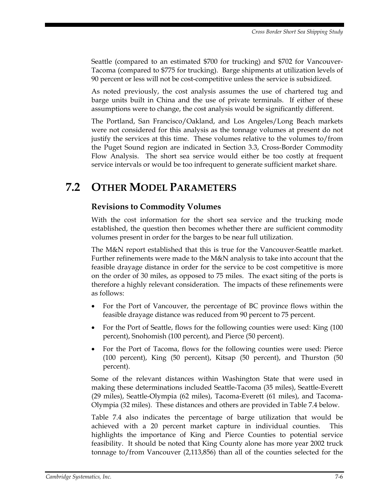Seattle (compared to an estimated \$700 for trucking) and \$702 for Vancouver-Tacoma (compared to \$775 for trucking). Barge shipments at utilization levels of 90 percent or less will not be cost-competitive unless the service is subsidized.

As noted previously, the cost analysis assumes the use of chartered tug and barge units built in China and the use of private terminals. If either of these assumptions were to change, the cost analysis would be significantly different.

The Portland, San Francisco/Oakland, and Los Angeles/Long Beach markets were not considered for this analysis as the tonnage volumes at present do not justify the services at this time. These volumes relative to the volumes to/from the Puget Sound region are indicated in Section 3.3, Cross-Border Commodity Flow Analysis. The short sea service would either be too costly at frequent service intervals or would be too infrequent to generate sufficient market share.

# **7.2 OTHER MODEL PARAMETERS**

#### **Revisions to Commodity Volumes**

With the cost information for the short sea service and the trucking mode established, the question then becomes whether there are sufficient commodity volumes present in order for the barges to be near full utilization.

The M&N report established that this is true for the Vancouver-Seattle market. Further refinements were made to the M&N analysis to take into account that the feasible drayage distance in order for the service to be cost competitive is more on the order of 30 miles, as opposed to 75 miles. The exact siting of the ports is therefore a highly relevant consideration. The impacts of these refinements were as follows:

- For the Port of Vancouver, the percentage of BC province flows within the feasible drayage distance was reduced from 90 percent to 75 percent.
- For the Port of Seattle, flows for the following counties were used: King (100) percent), Snohomish (100 percent), and Pierce (50 percent).
- For the Port of Tacoma, flows for the following counties were used: Pierce (100 percent), King (50 percent), Kitsap (50 percent), and Thurston (50 percent).

Some of the relevant distances within Washington State that were used in making these determinations included Seattle-Tacoma (35 miles), Seattle-Everett (29 miles), Seattle-Olympia (62 miles), Tacoma-Everett (61 miles), and Tacoma-Olympia (32 miles). These distances and others are provided in Table 7.4 below.

Table 7.4 also indicates the percentage of barge utilization that would be achieved with a 20 percent market capture in individual counties. This highlights the importance of King and Pierce Counties to potential service feasibility. It should be noted that King County alone has more year 2002 truck tonnage to/from Vancouver (2,113,856) than all of the counties selected for the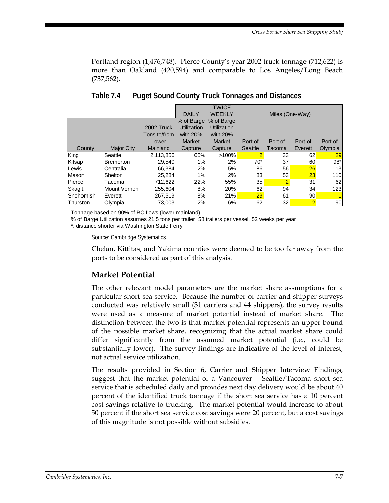Portland region (1,476,748). Pierce County's year 2002 truck tonnage (712,622) is more than Oakland (420,594) and comparable to Los Angeles/Long Beach (737,562).

|           |                   |                   |                    | <b>TWICE</b>       |                 |                |                 |         |  |  |  |
|-----------|-------------------|-------------------|--------------------|--------------------|-----------------|----------------|-----------------|---------|--|--|--|
|           |                   |                   | <b>DAILY</b>       | <b>WEEKLY</b>      | Miles (One-Way) |                |                 |         |  |  |  |
|           |                   |                   | % of Barge         | % of Barge         |                 |                |                 |         |  |  |  |
|           |                   | <b>2002 Truck</b> | <b>Utilization</b> | <b>Utilization</b> |                 |                |                 |         |  |  |  |
|           |                   | Tons to/from      | with $20%$         | with $20\%$        |                 |                |                 |         |  |  |  |
|           |                   | Lower             | <b>Market</b>      | <b>Market</b>      | Port of         | Port of        | Port of         | Port of |  |  |  |
| County    | <b>Major City</b> | Mainland          | Capture            | Capture            | Seattle         | Tacoma         | Everett         | Olympia |  |  |  |
| King      | Seattle           | 2,113,856         | 65%                | >100%              | $\overline{2}$  | 33             | 62              | 29      |  |  |  |
| Kitsap    | <b>Bremerton</b>  | 29.540            | $1\%$              | 2%                 | $70*$           | 37             | 60              | $98*$   |  |  |  |
| Lewis     | Centralia         | 66,384            | 2%                 | 5%                 | 86              | 56             | 26              | 113     |  |  |  |
| Mason     | <b>Shelton</b>    | 25.284            | $1\%$              | 2%                 | 83              | 53             | 23              | 110     |  |  |  |
| Pierce    | Tacoma            | 712.622           | 22%                | 55%                | 35              | $\overline{2}$ | 31              | 62      |  |  |  |
| Skagit    | Mount Vernon      | 255.604           | 8%                 | 20%                | 62              | 94             | 34              | 123     |  |  |  |
| Snohomish | Everett           | 267.519           | 8%                 | 21%                | 29              | 61             | 90 <sub>1</sub> |         |  |  |  |
| Thurston  | Olympia           | 73,003            | 2%                 | 6%                 | 62              | 32             | $\overline{2}$  | 90      |  |  |  |

**Table 7.4 Puget Sound County Truck Tonnages and Distances** 

Tonnage based on 90% of BC flows (lower mainland)

% of Barge Utilization assumes 21.5 tons per trailer, 58 trailers per vessel, 52 weeks per year

\*: distance shorter via Washington State Ferry

Source: Cambridge Systematics.

Chelan, Kittitas, and Yakima counties were deemed to be too far away from the ports to be considered as part of this analysis.

#### **Market Potential**

The other relevant model parameters are the market share assumptions for a particular short sea service. Because the number of carrier and shipper surveys conducted was relatively small (31 carriers and 44 shippers), the survey results were used as a measure of market potential instead of market share. The distinction between the two is that market potential represents an upper bound of the possible market share, recognizing that the actual market share could differ significantly from the assumed market potential (i.e., could be substantially lower). The survey findings are indicative of the level of interest, not actual service utilization.

The results provided in Section 6, Carrier and Shipper Interview Findings, suggest that the market potential of a Vancouver – Seattle/Tacoma short sea service that is scheduled daily and provides next day delivery would be about 40 percent of the identified truck tonnage if the short sea service has a 10 percent cost savings relative to trucking. The market potential would increase to about 50 percent if the short sea service cost savings were 20 percent, but a cost savings of this magnitude is not possible without subsidies.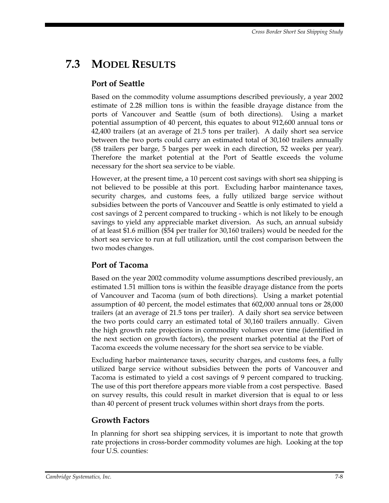# **7.3 MODEL RESULTS**

#### **Port of Seattle**

Based on the commodity volume assumptions described previously, a year 2002 estimate of 2.28 million tons is within the feasible drayage distance from the ports of Vancouver and Seattle (sum of both directions). Using a market potential assumption of 40 percent, this equates to about 912,600 annual tons or 42,400 trailers (at an average of 21.5 tons per trailer). A daily short sea service between the two ports could carry an estimated total of 30,160 trailers annually (58 trailers per barge, 5 barges per week in each direction, 52 weeks per year). Therefore the market potential at the Port of Seattle exceeds the volume necessary for the short sea service to be viable.

However, at the present time, a 10 percent cost savings with short sea shipping is not believed to be possible at this port. Excluding harbor maintenance taxes, security charges, and customs fees, a fully utilized barge service without subsidies between the ports of Vancouver and Seattle is only estimated to yield a cost savings of 2 percent compared to trucking - which is not likely to be enough savings to yield any appreciable market diversion. As such, an annual subsidy of at least \$1.6 million (\$54 per trailer for 30,160 trailers) would be needed for the short sea service to run at full utilization, until the cost comparison between the two modes changes.

#### **Port of Tacoma**

Based on the year 2002 commodity volume assumptions described previously, an estimated 1.51 million tons is within the feasible drayage distance from the ports of Vancouver and Tacoma (sum of both directions). Using a market potential assumption of 40 percent, the model estimates that 602,000 annual tons or 28,000 trailers (at an average of 21.5 tons per trailer). A daily short sea service between the two ports could carry an estimated total of 30,160 trailers annually. Given the high growth rate projections in commodity volumes over time (identified in the next section on growth factors), the present market potential at the Port of Tacoma exceeds the volume necessary for the short sea service to be viable.

Excluding harbor maintenance taxes, security charges, and customs fees, a fully utilized barge service without subsidies between the ports of Vancouver and Tacoma is estimated to yield a cost savings of 9 percent compared to trucking. The use of this port therefore appears more viable from a cost perspective. Based on survey results, this could result in market diversion that is equal to or less than 40 percent of present truck volumes within short drays from the ports.

#### **Growth Factors**

In planning for short sea shipping services, it is important to note that growth rate projections in cross-border commodity volumes are high. Looking at the top four U.S. counties: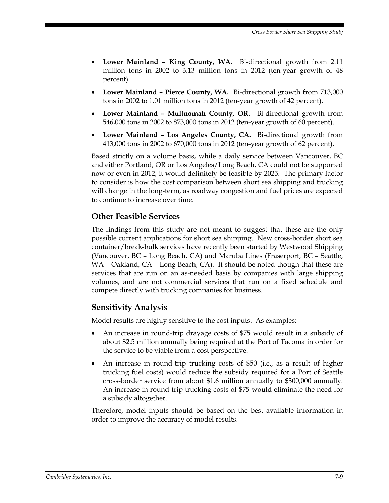- **Lower Mainland King County, WA.** Bi-directional growth from 2.11 million tons in 2002 to 3.13 million tons in 2012 (ten-year growth of 48 percent).
- **Lower Mainland Pierce County, WA.** Bi-directional growth from 713,000 tons in 2002 to 1.01 million tons in 2012 (ten-year growth of 42 percent).
- **Lower Mainland Multnomah County, OR.** Bi-directional growth from 546,000 tons in 2002 to 873,000 tons in 2012 (ten-year growth of 60 percent).
- **Lower Mainland Los Angeles County, CA.** Bi-directional growth from 413,000 tons in 2002 to 670,000 tons in 2012 (ten-year growth of 62 percent).

Based strictly on a volume basis, while a daily service between Vancouver, BC and either Portland, OR or Los Angeles/Long Beach, CA could not be supported now or even in 2012, it would definitely be feasible by 2025. The primary factor to consider is how the cost comparison between short sea shipping and trucking will change in the long-term, as roadway congestion and fuel prices are expected to continue to increase over time.

#### **Other Feasible Services**

The findings from this study are not meant to suggest that these are the only possible current applications for short sea shipping. New cross-border short sea container/break-bulk services have recently been started by Westwood Shipping (Vancouver, BC – Long Beach, CA) and Maruba Lines (Fraserport, BC – Seattle, WA – Oakland, CA – Long Beach, CA). It should be noted though that these are services that are run on an as-needed basis by companies with large shipping volumes, and are not commercial services that run on a fixed schedule and compete directly with trucking companies for business.

#### **Sensitivity Analysis**

Model results are highly sensitive to the cost inputs. As examples:

- An increase in round-trip drayage costs of \$75 would result in a subsidy of about \$2.5 million annually being required at the Port of Tacoma in order for the service to be viable from a cost perspective.
- An increase in round-trip trucking costs of \$50 (i.e., as a result of higher trucking fuel costs) would reduce the subsidy required for a Port of Seattle cross-border service from about \$1.6 million annually to \$300,000 annually. An increase in round-trip trucking costs of \$75 would eliminate the need for a subsidy altogether.

Therefore, model inputs should be based on the best available information in order to improve the accuracy of model results.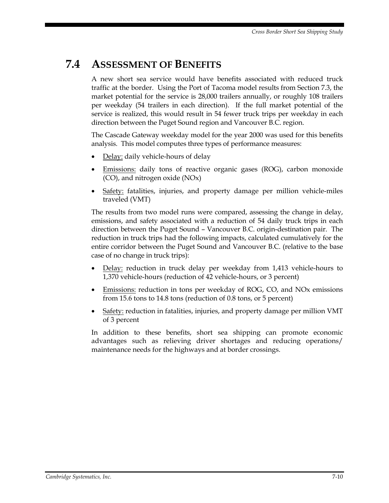### **7.4 ASSESSMENT OF BENEFITS**

A new short sea service would have benefits associated with reduced truck traffic at the border. Using the Port of Tacoma model results from Section 7.3, the market potential for the service is 28,000 trailers annually, or roughly 108 trailers per weekday (54 trailers in each direction). If the full market potential of the service is realized, this would result in 54 fewer truck trips per weekday in each direction between the Puget Sound region and Vancouver B.C. region.

The Cascade Gateway weekday model for the year 2000 was used for this benefits analysis. This model computes three types of performance measures:

- Delay: daily vehicle-hours of delay
- Emissions: daily tons of reactive organic gases (ROG), carbon monoxide (CO), and nitrogen oxide (NOx)
- Safety: fatalities, injuries, and property damage per million vehicle-miles traveled (VMT)

The results from two model runs were compared, assessing the change in delay, emissions, and safety associated with a reduction of 54 daily truck trips in each direction between the Puget Sound – Vancouver B.C. origin-destination pair. The reduction in truck trips had the following impacts, calculated cumulatively for the entire corridor between the Puget Sound and Vancouver B.C. (relative to the base case of no change in truck trips):

- Delay: reduction in truck delay per weekday from 1,413 vehicle-hours to 1,370 vehicle-hours (reduction of 42 vehicle-hours, or 3 percent)
- Emissions: reduction in tons per weekday of ROG, CO, and NOx emissions from 15.6 tons to 14.8 tons (reduction of 0.8 tons, or 5 percent)
- Safety: reduction in fatalities, injuries, and property damage per million VMT of 3 percent

In addition to these benefits, short sea shipping can promote economic advantages such as relieving driver shortages and reducing operations/ maintenance needs for the highways and at border crossings.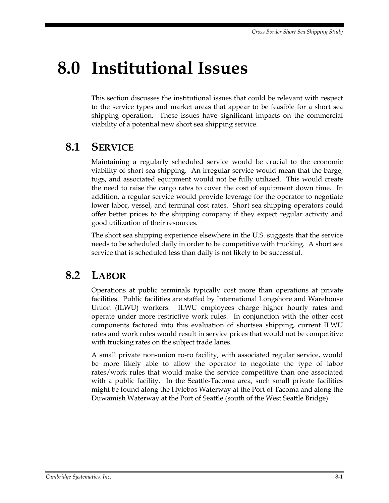# **8.0 Institutional Issues**

This section discusses the institutional issues that could be relevant with respect to the service types and market areas that appear to be feasible for a short sea shipping operation. These issues have significant impacts on the commercial viability of a potential new short sea shipping service.

### **8.1 SERVICE**

Maintaining a regularly scheduled service would be crucial to the economic viability of short sea shipping. An irregular service would mean that the barge, tugs, and associated equipment would not be fully utilized. This would create the need to raise the cargo rates to cover the cost of equipment down time. In addition, a regular service would provide leverage for the operator to negotiate lower labor, vessel, and terminal cost rates. Short sea shipping operators could offer better prices to the shipping company if they expect regular activity and good utilization of their resources.

The short sea shipping experience elsewhere in the U.S. suggests that the service needs to be scheduled daily in order to be competitive with trucking. A short sea service that is scheduled less than daily is not likely to be successful.

### **8.2 LABOR**

Operations at public terminals typically cost more than operations at private facilities. Public facilities are staffed by International Longshore and Warehouse Union (ILWU) workers. ILWU employees charge higher hourly rates and operate under more restrictive work rules. In conjunction with the other cost components factored into this evaluation of shortsea shipping, current ILWU rates and work rules would result in service prices that would not be competitive with trucking rates on the subject trade lanes.

A small private non-union ro-ro facility, with associated regular service, would be more likely able to allow the operator to negotiate the type of labor rates/work rules that would make the service competitive than one associated with a public facility. In the Seattle-Tacoma area, such small private facilities might be found along the Hylebos Waterway at the Port of Tacoma and along the Duwamish Waterway at the Port of Seattle (south of the West Seattle Bridge).